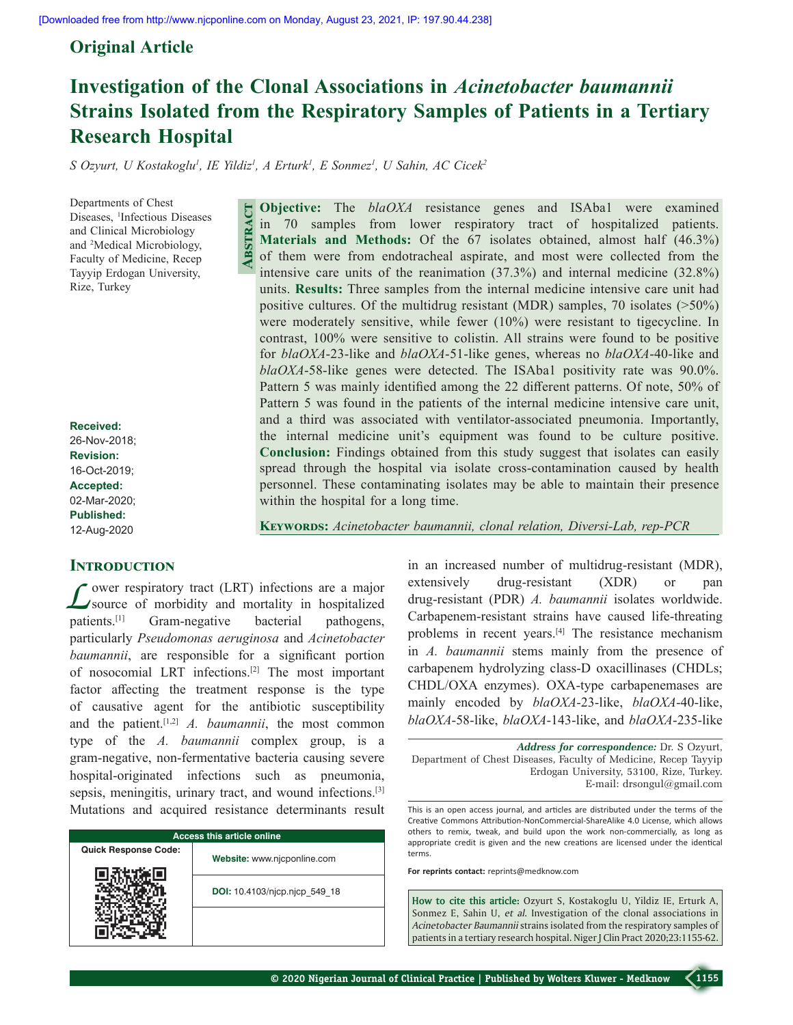# **Original Article**

# **Investigation of the Clonal Associations in** *Acinetobacter baumannii* **Strains Isolated from the Respiratory Samples of Patients in a Tertiary Research Hospital**

*S Ozyurt, U Kostakoglu1 , IE Yildiz1 , A Erturk1 , E Sonmez1 , U Sahin, AC Cicek2*

**Abstract**

Departments of Chest Diseases, <sup>1</sup>Infectious Diseases and Clinical Microbiology and 2 Medical Microbiology, Faculty of Medicine, Recep Tayyip Erdogan University, Rize, Turkey

**Received:** 26-Nov-2018; **Revision:** 16-Oct-2019; **Accepted:** 02-Mar-2020; **Published:** 12-Aug-2020

# **INTRODUCTION**

Lower respiratory tract (LRT) infections are a major<br>
source of morbidity and mortality in hospitalized patients.<sup>[1]</sup> Gram-negative bacterial pathogens, particularly *Pseudomonas aeruginosa* and *Acinetobacter baumannii*, are responsible for a significant portion of nosocomial LRT infections.[2] The most important factor affecting the treatment response is the type of causative agent for the antibiotic susceptibility and the patient.[1,2] *A. baumannii*, the most common type of the *A. baumannii* complex group, is a gram‑negative, non‑fermentative bacteria causing severe hospital-originated infections such as pneumonia, sepsis, meningitis, urinary tract, and wound infections.<sup>[3]</sup> Mutations and acquired resistance determinants result

| <b>Access this article online</b> |                               |  |  |
|-----------------------------------|-------------------------------|--|--|
| <b>Quick Response Code:</b>       | Website: www.njcponline.com   |  |  |
|                                   | DOI: 10.4103/njcp.njcp 549 18 |  |  |
|                                   |                               |  |  |

**Objective:** The *blaOXA* resistance genes and ISAba1 were examined in 70 samples from lower respiratory tract of hospitalized patients. **Materials and Methods:** Of the 67 isolates obtained, almost half (46.3%) of them were from endotracheal aspirate, and most were collected from the intensive care units of the reanimation (37.3%) and internal medicine (32.8%) units. **Results:** Three samples from the internal medicine intensive care unit had positive cultures. Of the multidrug resistant (MDR) samples, 70 isolates (>50%) were moderately sensitive, while fewer (10%) were resistant to tigecycline. In contrast, 100% were sensitive to colistin. All strains were found to be positive for *blaOXA*-23-like and *blaOXA*-51-like genes, whereas no *blaOXA*-40-like and *blaOXA*-58-like genes were detected. The ISAba1 positivity rate was 90.0%. Pattern 5 was mainly identified among the 22 different patterns. Of note, 50% of Pattern 5 was found in the patients of the internal medicine intensive care unit, and a third was associated with ventilator-associated pneumonia. Importantly, the internal medicine unit's equipment was found to be culture positive. **Conclusion:** Findings obtained from this study suggest that isolates can easily spread through the hospital via isolate cross-contamination caused by health personnel. These contaminating isolates may be able to maintain their presence within the hospital for a long time.

**Keywords:** *Acinetobacter baumannii, clonal relation, Diversi‑Lab, rep‑PCR*

in an increased number of multidrug-resistant (MDR), extensively drug-resistant (XDR) or pan drug‑resistant (PDR) *A. baumannii* isolates worldwide. Carbapenem-resistant strains have caused life-threating problems in recent years.[4] The resistance mechanism in *A. baumannii* stems mainly from the presence of carbapenem hydrolyzing class‑D oxacillinases (CHDLs; CHDL/OXA enzymes). OXA-type carbapenemases are mainly encoded by *blaOXA*‑23‑like, *blaOXA*‑40‑like, *blaOXA*‑58‑like, *blaOXA*‑143‑like, and *blaOXA*‑235‑like

*Address for correspondence:* Dr. S Ozyurt, Department of Chest Diseases, Faculty of Medicine, Recep Tayyip Erdogan University, 53100, Rize, Turkey. E‑mail: drsongul@gmail.com

This is an open access journal, and articles are distributed under the terms of the Creative Commons Attribution‑NonCommercial‑ShareAlike 4.0 License, which allows others to remix, tweak, and build upon the work non‑commercially, as long as appropriate credit is given and the new creations are licensed under the identical terms.

**For reprints contact:** reprints@medknow.com

**How to cite this article:** Ozyurt S, Kostakoglu U, Yildiz IE, Erturk A, Sonmez E, Sahin U, *et al*. Investigation of the clonal associations in *Acinetobacter Baumannii* strains isolated from the respiratory samples of patients in a tertiary research hospital. Niger J Clin Pract 2020;23:1155-62.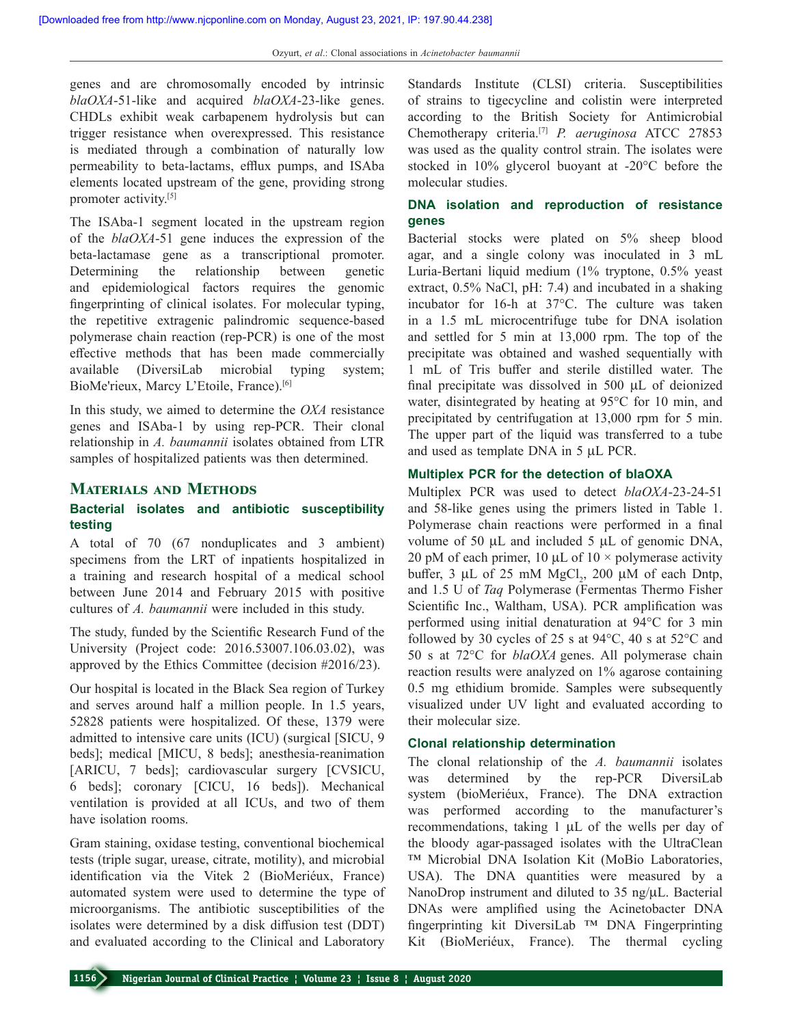genes and are chromosomally encoded by intrinsic *blaOXA*‑51‑like and acquired *blaOXA*‑23‑like genes. CHDLs exhibit weak carbapenem hydrolysis but can trigger resistance when overexpressed. This resistance is mediated through a combination of naturally low permeability to beta‑lactams, efflux pumps, and ISAba elements located upstream of the gene, providing strong promoter activity.[5]

The ISAba-1 segment located in the upstream region of the *blaOXA*‑51 gene induces the expression of the beta‑lactamase gene as a transcriptional promoter. Determining the relationship between genetic and epidemiological factors requires the genomic fingerprinting of clinical isolates. For molecular typing, the repetitive extragenic palindromic sequence‑based polymerase chain reaction (rep-PCR) is one of the most effective methods that has been made commercially available (DiversiLab microbial typing system; BioMe'rieux, Marcy L'Etoile, France).[6]

In this study, we aimed to determine the *OXA* resistance genes and ISAba-1 by using rep-PCR. Their clonal relationship in *A. baumannii* isolates obtained from LTR samples of hospitalized patients was then determined.

#### **Materials and Methods**

# **Bacterial isolates and antibiotic susceptibility testing**

A total of 70 (67 nonduplicates and 3 ambient) specimens from the LRT of inpatients hospitalized in a training and research hospital of a medical school between June 2014 and February 2015 with positive cultures of *A. baumannii* were included in this study.

The study, funded by the Scientific Research Fund of the University (Project code: 2016.53007.106.03.02), was approved by the Ethics Committee (decision #2016/23).

Our hospital is located in the Black Sea region of Turkey and serves around half a million people. In 1.5 years, 52828 patients were hospitalized. Of these, 1379 were admitted to intensive care units (ICU) (surgical [SICU, 9 beds]; medical [MICU, 8 beds]; anesthesia-reanimation [ARICU, 7 beds]; cardiovascular surgery [CVSICU, 6 beds]; coronary [CICU, 16 beds]). Mechanical ventilation is provided at all ICUs, and two of them have isolation rooms.

Gram staining, oxidase testing, conventional biochemical tests (triple sugar, urease, citrate, motility), and microbial identification via the Vitek 2 (BioMeriéux, France) automated system were used to determine the type of microorganisms. The antibiotic susceptibilities of the isolates were determined by a disk diffusion test (DDT) and evaluated according to the Clinical and Laboratory Standards Institute (CLSI) criteria. Susceptibilities of strains to tigecycline and colistin were interpreted according to the British Society for Antimicrobial Chemotherapy criteria.[7] *P. aeruginosa* ATCC 27853 was used as the quality control strain. The isolates were stocked in 10% glycerol buoyant at -20°C before the molecular studies.

# **DNA isolation and reproduction of resistance genes**

Bacterial stocks were plated on 5% sheep blood agar, and a single colony was inoculated in 3 mL Luria‑Bertani liquid medium (1% tryptone, 0.5% yeast extract, 0.5% NaCl, pH: 7.4) and incubated in a shaking incubator for 16‑h at 37°C. The culture was taken in a 1.5 mL microcentrifuge tube for DNA isolation and settled for 5 min at 13,000 rpm. The top of the precipitate was obtained and washed sequentially with 1 mL of Tris buffer and sterile distilled water. The final precipitate was dissolved in 500 μL of deionized water, disintegrated by heating at 95°C for 10 min, and precipitated by centrifugation at 13,000 rpm for 5 min. The upper part of the liquid was transferred to a tube and used as template DNA in 5 μL PCR.

#### **Multiplex PCR for the detection of blaOXA**

Multiplex PCR was used to detect *blaOXA*-23-24-51 and 58‑like genes using the primers listed in Table 1. Polymerase chain reactions were performed in a final volume of 50 µL and included 5 µL of genomic DNA, 20 pM of each primer, 10  $\mu$ L of 10  $\times$  polymerase activity buffer,  $3 \mu L$  of  $25 \text{ mM } MgCl_2$ ,  $200 \mu M$  of each Dntp, and 1.5 U of *Taq* Polymerase (Fermentas Thermo Fisher Scientific Inc., Waltham, USA). PCR amplification was performed using initial denaturation at 94°C for 3 min followed by 30 cycles of 25 s at 94°C, 40 s at 52°C and 50 s at 72°C for *blaOXA* genes. All polymerase chain reaction results were analyzed on 1% agarose containing 0.5 mg ethidium bromide. Samples were subsequently visualized under UV light and evaluated according to their molecular size.

#### **Clonal relationship determination**

The clonal relationship of the *A. baumannii* isolates was determined by the rep-PCR DiversiLab system (bioMeriéux, France). The DNA extraction was performed according to the manufacturer's recommendations, taking 1 μL of the wells per day of the bloody agar‑passaged isolates with the UltraClean ™ Microbial DNA Isolation Kit (MoBio Laboratories, USA). The DNA quantities were measured by a NanoDrop instrument and diluted to 35 ng/μL. Bacterial DNAs were amplified using the Acinetobacter DNA fingerprinting kit DiversiLab ™ DNA Fingerprinting Kit (BioMeriéux, France). The thermal cycling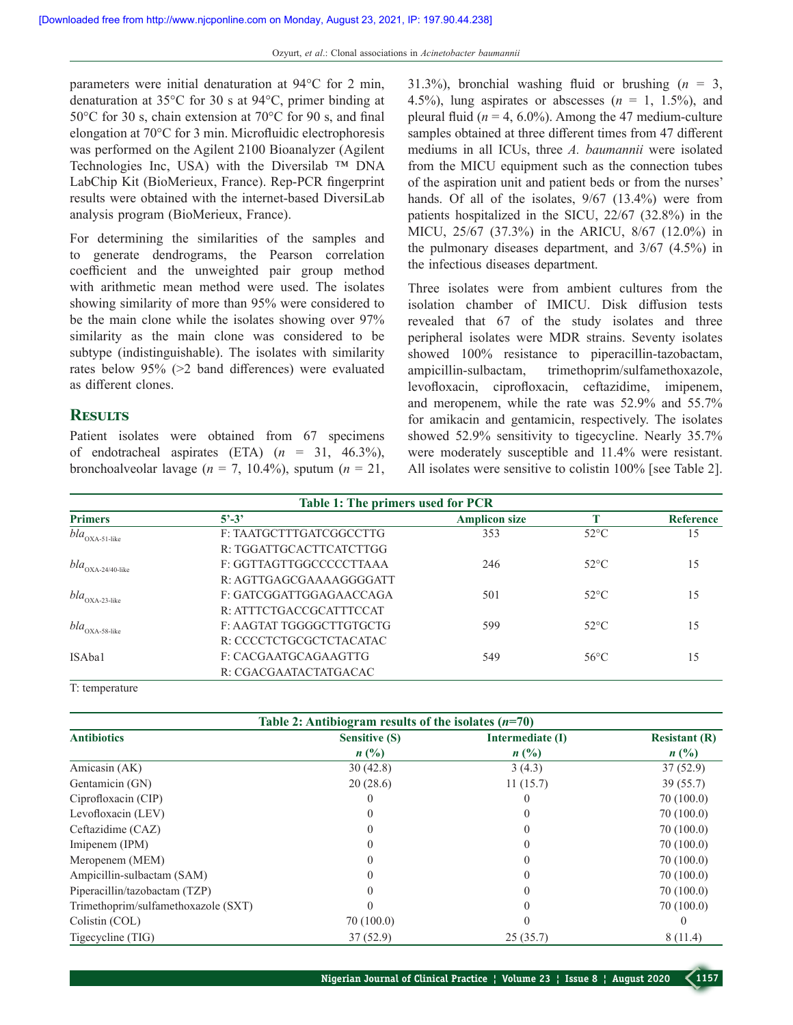parameters were initial denaturation at 94°C for 2 min, denaturation at 35°C for 30 s at 94°C, primer binding at 50°C for 30 s, chain extension at 70°C for 90 s, and final elongation at 70°C for 3 min. Microfluidic electrophoresis was performed on the Agilent 2100 Bioanalyzer (Agilent Technologies Inc, USA) with the Diversilab ™ DNA LabChip Kit (BioMerieux, France). Rep-PCR fingerprint results were obtained with the internet-based DiversiLab analysis program (BioMerieux, France).

For determining the similarities of the samples and to generate dendrograms, the Pearson correlation coefficient and the unweighted pair group method with arithmetic mean method were used. The isolates showing similarity of more than 95% were considered to be the main clone while the isolates showing over 97% similarity as the main clone was considered to be subtype (indistinguishable). The isolates with similarity rates below 95% (>2 band differences) were evaluated as different clones.

## **Results**

Patient isolates were obtained from 67 specimens of endotracheal aspirates (ETA) (*n* = 31, 46.3%), bronchoalveolar lavage ( $n = 7$ , 10.4%), sputum ( $n = 21$ , 31.3%), bronchial washing fluid or brushing  $(n = 3,$ 4.5%), lung aspirates or abscesses  $(n = 1, 1.5\%)$ , and pleural fluid ( $n = 4$ , 6.0%). Among the 47 medium-culture samples obtained at three different times from 47 different mediums in all ICUs, three *A. baumannii* were isolated from the MICU equipment such as the connection tubes of the aspiration unit and patient beds or from the nurses' hands. Of all of the isolates, 9/67 (13.4%) were from patients hospitalized in the SICU, 22/67 (32.8%) in the MICU, 25/67 (37.3%) in the ARICU, 8/67 (12.0%) in the pulmonary diseases department, and 3/67 (4.5%) in the infectious diseases department.

Three isolates were from ambient cultures from the isolation chamber of IMICU. Disk diffusion tests revealed that 67 of the study isolates and three peripheral isolates were MDR strains. Seventy isolates showed 100% resistance to piperacillin-tazobactam, ampicillin‑sulbactam, trimethoprim/sulfamethoxazole, levofloxacin, ciprofloxacin, ceftazidime, imipenem, and meropenem, while the rate was 52.9% and 55.7% for amikacin and gentamicin, respectively. The isolates showed 52.9% sensitivity to tigecycline. Nearly 35.7% were moderately susceptible and 11.4% were resistant. All isolates were sensitive to colistin 100% [see Table 2].

| Table 1: The primers used for PCR        |                          |                      |                |                  |
|------------------------------------------|--------------------------|----------------------|----------------|------------------|
| <b>Primers</b>                           | $5^{\circ} - 3^{\circ}$  | <b>Amplicon size</b> |                | <b>Reference</b> |
| $bla_{\rm OXA\text{-}51\text{-}like}$    | F: TAATGCTTTGATCGGCCTTG  | 353                  | $52^{\circ}$ C | 15               |
|                                          | R: TGGATTGCACTTCATCTTGG  |                      |                |                  |
| $bla_{\rm OXA\text{-}24/40\text{-like}}$ | F: GGTTAGTTGGCCCCCTTAAA  | 246                  | $52^{\circ}$ C | 15               |
|                                          | R: AGTTGAGCGAAAAGGGGATT  |                      |                |                  |
| $bla_{\rm OXA\text{-}23\text{-like}}$    | F: GATCGGATTGGAGAACCAGA  | 501                  | $52^{\circ}$ C | 15               |
|                                          | R: ATTTCTGACCGCATTTCCAT  |                      |                |                  |
| $bla_{\rm OXA\text{-}58\text{-like}}$    | F: AAGTAT TGGGGCTTGTGCTG | 599                  | $52^{\circ}$ C | 15               |
|                                          | R: CCCCTCTGCGCTCTACATAC  |                      |                |                  |
| ISAba1                                   | F: CACGAATGCAGAAGTTG     | 549                  | $56^{\circ}$ C | 15               |
|                                          | R: CGACGAATACTATGACAC    |                      |                |                  |

T: temperature

| Table 2: Antibiogram results of the isolates $(n=70)$ |                      |                  |                             |  |
|-------------------------------------------------------|----------------------|------------------|-----------------------------|--|
| <b>Antibiotics</b>                                    | <b>Sensitive (S)</b> | Intermediate (I) | <b>Resistant (R)</b>        |  |
|                                                       | $n(^{0}/_{0})$       | $n(^{0}/_{0})$   | $n\left(\frac{0}{0}\right)$ |  |
| Amicasin (AK)                                         | 30(42.8)             | 3(4.3)           | 37(52.9)                    |  |
| Gentamicin (GN)                                       | 20(28.6)             | 11(15.7)         | 39(55.7)                    |  |
| Ciprofloxacin (CIP)                                   |                      |                  | 70(100.0)                   |  |
| Levofloxacin (LEV)                                    |                      |                  | 70(100.0)                   |  |
| Ceftazidime (CAZ)                                     |                      |                  | 70(100.0)                   |  |
| Imipenem (IPM)                                        |                      |                  | 70(100.0)                   |  |
| Meropenem (MEM)                                       |                      |                  | 70(100.0)                   |  |
| Ampicillin-sulbactam (SAM)                            |                      |                  | 70(100.0)                   |  |
| Piperacillin/tazobactam (TZP)                         |                      |                  | 70(100.0)                   |  |
| Trimethoprim/sulfamethoxazole (SXT)                   |                      |                  | 70(100.0)                   |  |
| Colistin (COL)                                        | 70(100.0)            |                  |                             |  |
| Tigecycline (TIG)                                     | 37(52.9)             | 25(35.7)         | 8(11.4)                     |  |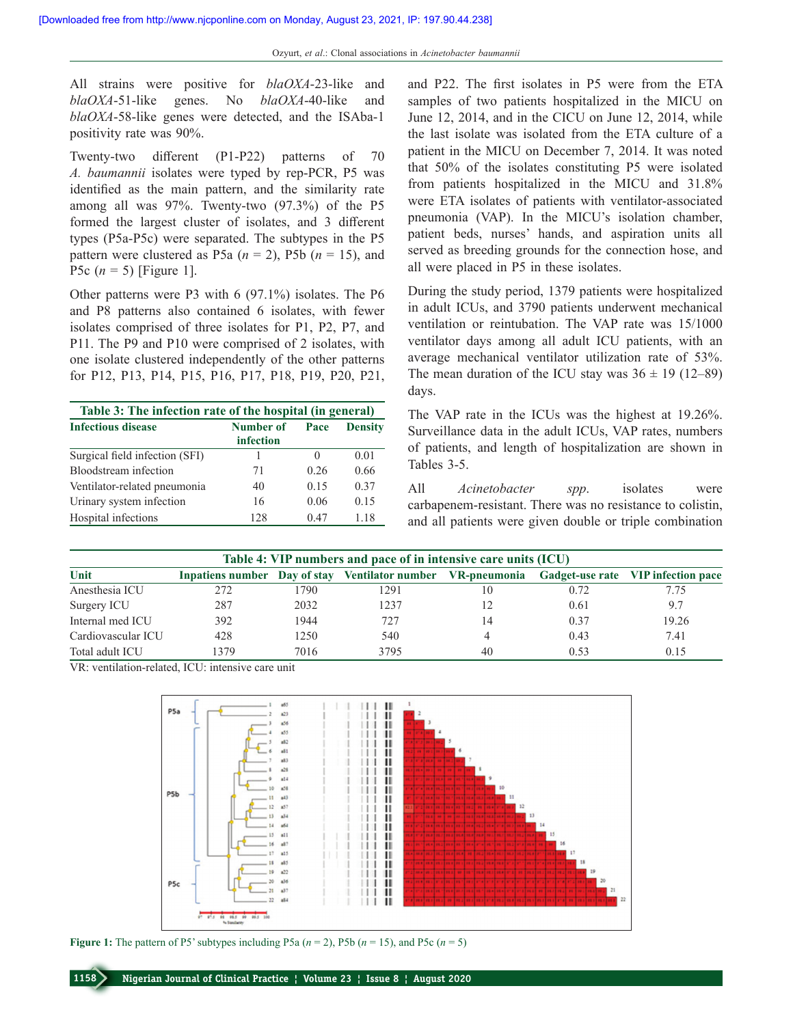All strains were positive for *blaOXA*‑23‑like and *blaOXA*‑51‑like genes. No *blaOXA*‑40‑like and *blaOXA*-58-like genes were detected, and the ISAba-1 positivity rate was 90%.

Twenty-two different (P1-P22) patterns of 70 *A. baumannii* isolates were typed by rep‑PCR, P5 was identified as the main pattern, and the similarity rate among all was  $97\%$ . Twenty-two  $(97.3\%)$  of the P5 formed the largest cluster of isolates, and 3 different types (P5a‑P5c) were separated. The subtypes in the P5 pattern were clustered as P5a  $(n = 2)$ , P5b  $(n = 15)$ , and P5c (*n* = 5) [Figure 1].

Other patterns were P3 with 6 (97.1%) isolates. The P6 and P8 patterns also contained 6 isolates, with fewer isolates comprised of three isolates for P1, P2, P7, and P11. The P9 and P10 were comprised of 2 isolates, with one isolate clustered independently of the other patterns for P12, P13, P14, P15, P16, P17, P18, P19, P20, P21,

| Table 3: The infection rate of the hospital (in general) |                        |      |                |
|----------------------------------------------------------|------------------------|------|----------------|
| <b>Infectious disease</b>                                | Number of<br>infection | Pace | <b>Density</b> |
| Surgical field infection (SFI)                           |                        | 0    | 0.01           |
| Bloodstream infection                                    | 71                     | 0.26 | 0.66           |
| Ventilator-related pneumonia                             | 40                     | 0.15 | 0.37           |
| Urinary system infection                                 | 16                     | 0.06 | 0.15           |
| Hospital infections                                      | 128                    | 0.47 | 1.18           |

and P22. The first isolates in P5 were from the ETA samples of two patients hospitalized in the MICU on June 12, 2014, and in the CICU on June 12, 2014, while the last isolate was isolated from the ETA culture of a patient in the MICU on December 7, 2014. It was noted that 50% of the isolates constituting P5 were isolated from patients hospitalized in the MICU and 31.8% were ETA isolates of patients with ventilator-associated pneumonia (VAP). In the MICU's isolation chamber, patient beds, nurses' hands, and aspiration units all served as breeding grounds for the connection hose, and all were placed in P5 in these isolates.

During the study period, 1379 patients were hospitalized in adult ICUs, and 3790 patients underwent mechanical ventilation or reintubation. The VAP rate was 15/1000 ventilator days among all adult ICU patients, with an average mechanical ventilator utilization rate of 53%. The mean duration of the ICU stay was  $36 \pm 19$  (12–89) days.

The VAP rate in the ICUs was the highest at 19.26%. Surveillance data in the adult ICUs, VAP rates, numbers of patients, and length of hospitalization are shown in Tables 3‑5.

All *Acinetobacter spp*. isolates were carbapenem‑resistant. There was no resistance to colistin, and all patients were given double or triple combination

| Table 4: VIP numbers and pace of in intensive care units (ICU) |      |      |                                                                                                |            |      |       |
|----------------------------------------------------------------|------|------|------------------------------------------------------------------------------------------------|------------|------|-------|
| Unit                                                           |      |      | Inpatiens number Day of stay Ventilator number VR-pneumonia Gadget-use rate VIP infection pace |            |      |       |
| Anesthesia ICU                                                 | 272  | 1790 | 1291                                                                                           | $\vert$ () | 0.72 | 7.75  |
| Surgery ICU                                                    | 287  | 2032 | 1237                                                                                           |            | 0.61 | 9.7   |
| Internal med ICU                                               | 392  | 1944 | 727                                                                                            | 14         | 0.37 | 19.26 |
| Cardiovascular ICU                                             | 428  | 1250 | 540                                                                                            |            | 0.43 | 7.41  |
| Total adult ICU                                                | 1379 | 7016 | 3795                                                                                           | 40         | 0.53 | 0.15  |

VR: ventilation‑related, ICU: intensive care unit



**Figure 1:** The pattern of P5' subtypes including P5a  $(n = 2)$ , P5b  $(n = 15)$ , and P5c  $(n = 5)$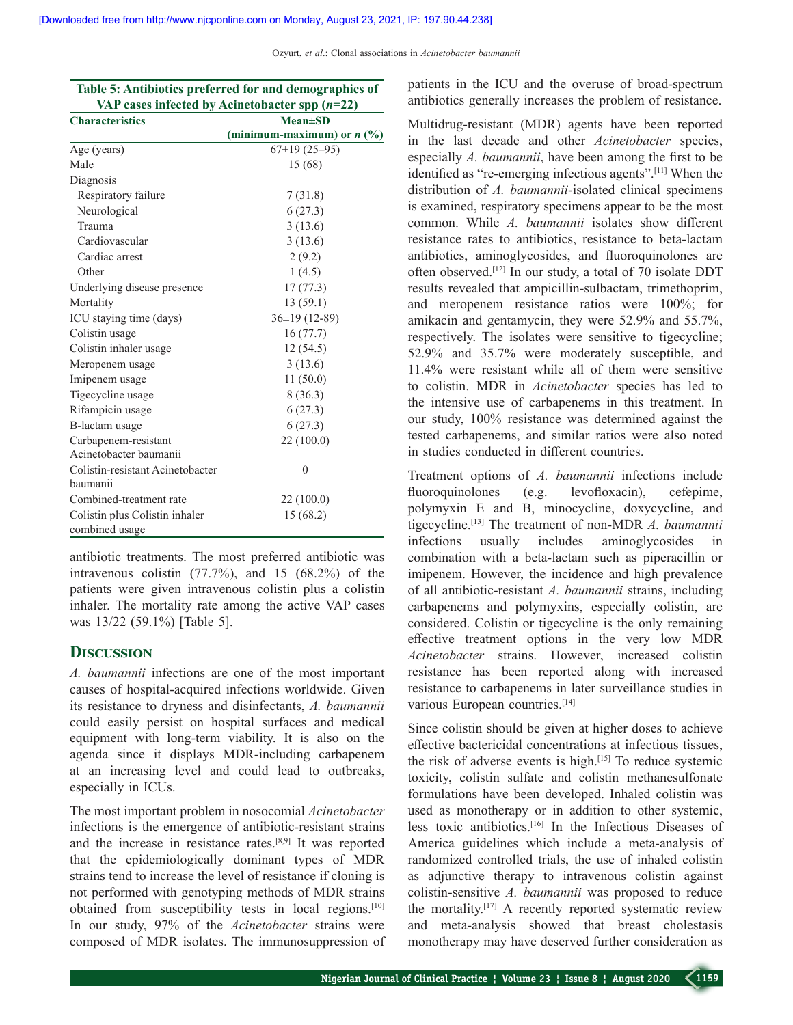Ozyurt, *et al*.: Clonal associations in *Acinetobacter baumannii*

| Table 5: Antibiotics preferred for and demographics of |                              |  |  |
|--------------------------------------------------------|------------------------------|--|--|
| VAP cases infected by Acinetobacter spp $(n=22)$       |                              |  |  |
| <b>Characteristics</b>                                 | $Mean \pm SD$                |  |  |
|                                                        | (minimum-maximum) or $n$ (%) |  |  |
| Age (years)                                            | $67\pm19(25-95)$             |  |  |
| Male                                                   | 15 (68)                      |  |  |
| Diagnosis                                              |                              |  |  |
| Respiratory failure                                    | 7(31.8)                      |  |  |
| Neurological                                           | 6(27.3)                      |  |  |
| Trauma                                                 | 3(13.6)                      |  |  |
| Cardiovascular                                         | 3(13.6)                      |  |  |
| Cardiac arrest                                         | 2(9.2)                       |  |  |
| Other                                                  | 1(4.5)                       |  |  |
| Underlying disease presence                            | 17(77.3)                     |  |  |
| Mortality                                              | 13(59.1)                     |  |  |
| ICU staying time (days)                                | 36±19 (12-89)                |  |  |
| Colistin usage                                         | 16(77.7)                     |  |  |
| Colistin inhaler usage                                 | 12(54.5)                     |  |  |
| Meropenem usage                                        | 3(13.6)                      |  |  |
| Imipenem usage                                         | 11(50.0)                     |  |  |
| Tigecycline usage                                      | 8(36.3)                      |  |  |
| Rifampicin usage                                       | 6(27.3)                      |  |  |
| B-lactam usage                                         | 6(27.3)                      |  |  |
| Carbapenem-resistant                                   | 22 (100.0)                   |  |  |
| Acinetobacter baumanii                                 |                              |  |  |
| Colistin-resistant Acinetobacter                       | $\overline{0}$               |  |  |
| baumanii                                               |                              |  |  |
| Combined-treatment rate                                | 22(100.0)                    |  |  |
| Colistin plus Colistin inhaler                         | 15(68.2)                     |  |  |
| combined usage                                         |                              |  |  |

antibiotic treatments. The most preferred antibiotic was intravenous colistin  $(77.7\%)$ , and  $15$   $(68.2\%)$  of the patients were given intravenous colistin plus a colistin inhaler. The mortality rate among the active VAP cases was 13/22 (59.1%) [Table 5].

# **Discussion**

*A. baumannii* infections are one of the most important causes of hospital‑acquired infections worldwide. Given its resistance to dryness and disinfectants, *A. baumannii* could easily persist on hospital surfaces and medical equipment with long-term viability. It is also on the agenda since it displays MDR‑including carbapenem at an increasing level and could lead to outbreaks, especially in ICUs.

The most important problem in nosocomial *Acinetobacter*  infections is the emergence of antibiotic-resistant strains and the increase in resistance rates.[8,9] It was reported that the epidemiologically dominant types of MDR strains tend to increase the level of resistance if cloning is not performed with genotyping methods of MDR strains obtained from susceptibility tests in local regions.[10] In our study, 97% of the *Acinetobacter* strains were composed of MDR isolates. The immunosuppression of patients in the ICU and the overuse of broad‑spectrum antibiotics generally increases the problem of resistance.

Multidrug‑resistant (MDR) agents have been reported in the last decade and other *Acinetobacter* species, especially *A. baumannii*, have been among the first to be identified as "re-emerging infectious agents".<sup>[11]</sup> When the distribution of *A. baumannii*‑isolated clinical specimens is examined, respiratory specimens appear to be the most common. While *A. baumannii* isolates show different resistance rates to antibiotics, resistance to beta‑lactam antibiotics, aminoglycosides, and fluoroquinolones are often observed.[12] In our study, a total of 70 isolate DDT results revealed that ampicillin-sulbactam, trimethoprim, and meropenem resistance ratios were 100%; for amikacin and gentamycin, they were 52.9% and 55.7%, respectively. The isolates were sensitive to tigecycline; 52.9% and 35.7% were moderately susceptible, and 11.4% were resistant while all of them were sensitive to colistin. MDR in *Acinetobacter* species has led to the intensive use of carbapenems in this treatment. In our study, 100% resistance was determined against the tested carbapenems, and similar ratios were also noted in studies conducted in different countries.

Treatment options of *A. baumannii* infections include fluoroquinolones (e.g. levofloxacin), cefepime, polymyxin E and B, minocycline, doxycycline, and tigecycline.[13] The treatment of non‑MDR *A. baumannii* infections usually includes aminoglycosides in combination with a beta-lactam such as piperacillin or imipenem. However, the incidence and high prevalence of all antibiotic‑resistant *A. baumannii* strains, including carbapenems and polymyxins, especially colistin, are considered. Colistin or tigecycline is the only remaining effective treatment options in the very low MDR *Acinetobacter* strains. However, increased colistin resistance has been reported along with increased resistance to carbapenems in later surveillance studies in various European countries.<sup>[14]</sup>

Since colistin should be given at higher doses to achieve effective bactericidal concentrations at infectious tissues, the risk of adverse events is high.[15] To reduce systemic toxicity, colistin sulfate and colistin methanesulfonate formulations have been developed. Inhaled colistin was used as monotherapy or in addition to other systemic, less toxic antibiotics.[16] In the Infectious Diseases of America guidelines which include a meta-analysis of randomized controlled trials, the use of inhaled colistin as adjunctive therapy to intravenous colistin against colistin‑sensitive *A. baumannii* was proposed to reduce the mortality.[17] A recently reported systematic review and meta‑analysis showed that breast cholestasis monotherapy may have deserved further consideration as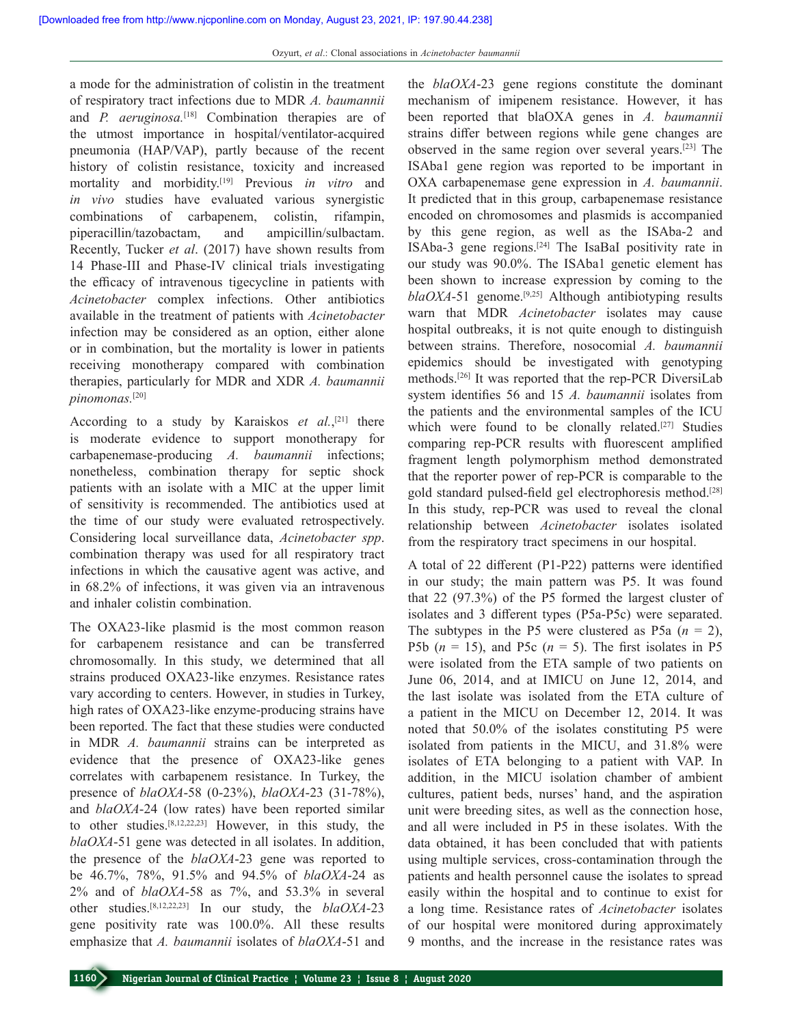a mode for the administration of colistin in the treatment of respiratory tract infections due to MDR *A. baumannii* and *P. aeruginosa.*[18] Combination therapies are of the utmost importance in hospital/ventilator-acquired pneumonia (HAP/VAP), partly because of the recent history of colistin resistance, toxicity and increased mortality and morbidity.[19] Previous *in vitro* and *in vivo* studies have evaluated various synergistic combinations of carbapenem, colistin, rifampin, piperacillin/tazobactam, and ampicillin/sulbactam. Recently, Tucker *et al*. (2017) have shown results from 14 Phase-III and Phase-IV clinical trials investigating the efficacy of intravenous tigecycline in patients with *Acinetobacter* complex infections. Other antibiotics available in the treatment of patients with *Acinetobacter* infection may be considered as an option, either alone or in combination, but the mortality is lower in patients receiving monotherapy compared with combination therapies, particularly for MDR and XDR *A. baumannii pinomonas.*[20]

According to a study by Karaiskos *et al.*, [21] there is moderate evidence to support monotherapy for carbapenemase‑producing *A. baumannii* infections; nonetheless, combination therapy for septic shock patients with an isolate with a MIC at the upper limit of sensitivity is recommended. The antibiotics used at the time of our study were evaluated retrospectively. Considering local surveillance data, *Acinetobacter spp*. combination therapy was used for all respiratory tract infections in which the causative agent was active, and in 68.2% of infections, it was given via an intravenous and inhaler colistin combination.

The OXA23-like plasmid is the most common reason for carbapenem resistance and can be transferred chromosomally. In this study, we determined that all strains produced OXA23‑like enzymes. Resistance rates vary according to centers. However, in studies in Turkey, high rates of OXA23-like enzyme-producing strains have been reported. The fact that these studies were conducted in MDR *A. baumannii* strains can be interpreted as evidence that the presence of OXA23-like genes correlates with carbapenem resistance. In Turkey, the presence of *blaOXA*‑58 (0‑23%), *blaOXA*‑23 (31‑78%), and *blaOXA*‑24 (low rates) have been reported similar to other studies.[8,12,22,23] However, in this study, the *blaOXA*‑51 gene was detected in all isolates. In addition, the presence of the *blaOXA*‑23 gene was reported to be 46.7%, 78%, 91.5% and 94.5% of *blaOXA*‑24 as 2% and of *blaOXA‑*58 as 7%, and 53.3% in several other studies.<sup>[8,12,22,23]</sup> In our study, the *blaOXA*-23 gene positivity rate was 100.0%. All these results emphasize that *A. baumannii* isolates of *blaOXA*‑51 and

the *blaOXA*‑23 gene regions constitute the dominant mechanism of imipenem resistance. However, it has been reported that blaOXA genes in *A. baumannii* strains differ between regions while gene changes are observed in the same region over several years.[23] The ISAba1 gene region was reported to be important in OXA carbapenemase gene expression in *A. baumannii*. It predicted that in this group, carbapenemase resistance encoded on chromosomes and plasmids is accompanied by this gene region, as well as the ISAba-2 and ISAba‑3 gene regions.[24] The IsaBaI positivity rate in our study was 90.0%. The ISAba1 genetic element has been shown to increase expression by coming to the *blaOXA*-51 genome.<sup>[9,25]</sup> Although antibiotyping results warn that MDR *Acinetobacter* isolates may cause hospital outbreaks, it is not quite enough to distinguish between strains. Therefore, nosocomial *A. baumannii* epidemics should be investigated with genotyping methods.<sup>[26]</sup> It was reported that the rep-PCR DiversiLab system identifies 56 and 15 *A. baumannii* isolates from the patients and the environmental samples of the ICU which were found to be clonally related.<sup>[27]</sup> Studies comparing rep‑PCR results with fluorescent amplified fragment length polymorphism method demonstrated that the reporter power of rep‑PCR is comparable to the gold standard pulsed-field gel electrophoresis method.<sup>[28]</sup> In this study, rep-PCR was used to reveal the clonal relationship between *Acinetobacter* isolates isolated from the respiratory tract specimens in our hospital.

A total of 22 different (P1‑P22) patterns were identified in our study; the main pattern was P5. It was found that 22 (97.3%) of the P5 formed the largest cluster of isolates and 3 different types (P5a‑P5c) were separated. The subtypes in the P5 were clustered as P5a  $(n = 2)$ , P5b  $(n = 15)$ , and P5c  $(n = 5)$ . The first isolates in P5 were isolated from the ETA sample of two patients on June 06, 2014, and at IMICU on June 12, 2014, and the last isolate was isolated from the ETA culture of a patient in the MICU on December 12, 2014. It was noted that 50.0% of the isolates constituting P5 were isolated from patients in the MICU, and 31.8% were isolates of ETA belonging to a patient with VAP. In addition, in the MICU isolation chamber of ambient cultures, patient beds, nurses' hand, and the aspiration unit were breeding sites, as well as the connection hose, and all were included in P5 in these isolates. With the data obtained, it has been concluded that with patients using multiple services, cross‑contamination through the patients and health personnel cause the isolates to spread easily within the hospital and to continue to exist for a long time. Resistance rates of *Acinetobacter* isolates of our hospital were monitored during approximately 9 months, and the increase in the resistance rates was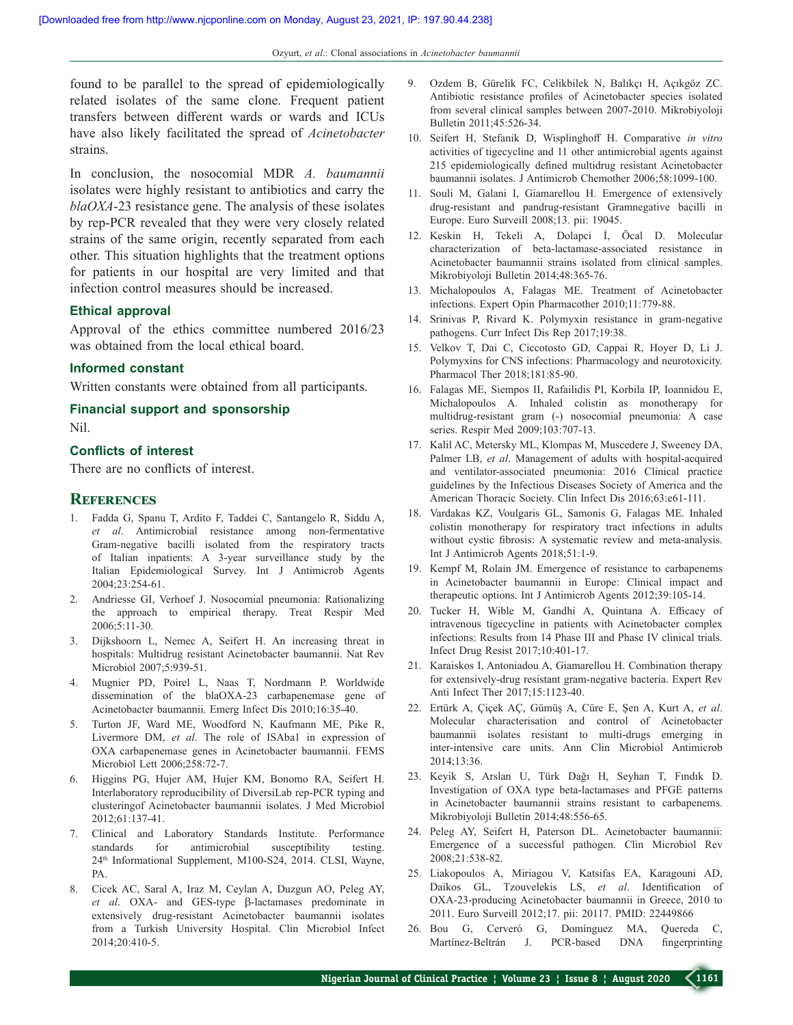found to be parallel to the spread of epidemiologically related isolates of the same clone. Frequent patient transfers between different wards or wards and ICUs have also likely facilitated the spread of *Acinetobacter* strains.

In conclusion, the nosocomial MDR *A. baumannii* isolates were highly resistant to antibiotics and carry the *blaOXA*‑23 resistance gene. The analysis of these isolates by rep‑PCR revealed that they were very closely related strains of the same origin, recently separated from each other. This situation highlights that the treatment options for patients in our hospital are very limited and that infection control measures should be increased.

#### **Ethical approval**

Approval of the ethics committee numbered 2016/23 was obtained from the local ethical board.

#### **Informed constant**

Written constants were obtained from all participants.

# **Financial support and  sponsorship**

Nil.

#### **Conflicts of interest**

There are no conflicts of interest.

### **References**

- 1. Fadda G, Spanu T, Ardito F, Taddei C, Santangelo R, Siddu A, *et al*. Antimicrobial resistance among non‑fermentative Gram‑negative bacilli isolated from the respiratory tracts of Italian inpatients: A 3‑year surveillance study by the Italian Epidemiological Survey. Int J Antimicrob Agents 2004;23:254‑61.
- 2. Andriesse GI, Verhoef J. Nosocomial pneumonia: Rationalizing the approach to empirical therapy. Treat Respir Med 2006;5:11‑30.
- 3. Dijkshoorn L, Nemec A, Seifert H. An increasing threat in hospitals: Multidrug resistant Acinetobacter baumannii. Nat Rev Microbiol 2007;5:939-51.
- 4. Mugnier PD, Poirel L, Naas T, Nordmann P. Worldwide dissemination of the blaOXA-23 carbapenemase gene of Acinetobacter baumannii. Emerg Infect Dis 2010;16:35‑40.
- 5. Turton JF, Ward ME, Woodford N, Kaufmann ME, Pike R, Livermore DM, *et al*. The role of ISAba1 in expression of OXA carbapenemase genes in Acinetobacter baumannii. FEMS Microbiol Lett 2006;258:72‑7.
- 6. Higgins PG, Hujer AM, Hujer KM, Bonomo RA, Seifert H. Interlaboratory reproducibility of DiversiLab rep‑PCR typing and clusteringof Acinetobacter baumannii isolates. J Med Microbiol 2012;61:137‑41.
- 7. Clinical and Laboratory Standards Institute. Performance standards for antimicrobial susceptibility testing. 24<sup>th</sup> Informational Supplement, M100-S24, 2014. CLSI, Wayne, PA.
- 8. Cicek AC, Saral A, Iraz M, Ceylan A, Duzgun AO, Peleg AY, *et al*. OXA‑ and GES‑type β‑lactamases predominate in extensively drug‑resistant Acinetobacter baumannii isolates from a Turkish University Hospital. Clin Microbiol Infect 2014;20:410‑5.
- 9. Ozdem B, Gürelik FC, Celikbilek N, Balıkçı H, Açıkgöz ZC. Antibiotic resistance profiles of Acinetobacter species isolated from several clinical samples between 2007‑2010. Mikrobiyoloji Bulletin 2011;45:526‑34.
- 10. Seifert H, Stefanik D, Wisplinghoff H. Comparative *in vitro* activities of tigecycline and 11 other antimicrobial agents against 215 epidemiologically defined multidrug resistant Acinetobacter baumannii isolates. J Antimicrob Chemother 2006;58:1099-100.
- 11. Souli M, Galani I, Giamarellou H. Emergence of extensively drug‑resistant and pandrug‑resistant Gramnegative bacilli in Europe. Euro Surveill 2008;13. pii: 19045.
- 12. Keskin H, Tekeli A, Dolapci İ, Öcal D. Molecular characterization of beta‑lactamase‑associated resistance in Acinetobacter baumannii strains isolated from clinical samples. Mikrobiyoloji Bulletin 2014;48:365‑76.
- 13. Michalopoulos A, Falagas ME. Treatment of Acinetobacter infections. Expert Opin Pharmacother 2010;11:779‑88.
- 14. Srinivas P, Rivard K. Polymyxin resistance in gram‑negative pathogens. Curr Infect Dis Rep 2017;19:38.
- 15. Velkov T, Dai C, Ciccotosto GD, Cappai R, Hoyer D, Li J. Polymyxins for CNS infections: Pharmacology and neurotoxicity. Pharmacol Ther 2018;181:85‑90.
- 16. Falagas ME, Siempos II, Rafailidis PI, Korbila IP, Ioannidou E, Michalopoulos A. Inhaled colistin as monotherapy for multidrug‑resistant gram (‑) nosocomial pneumonia: A case series. Respir Med 2009;103:707‑13.
- 17. Kalil AC, Metersky ML, Klompas M, Muscedere J, Sweeney DA, Palmer LB, *et al.* Management of adults with hospital-acquired and ventilator‑associated pneumonia: 2016 Clinical practice guidelines by the Infectious Diseases Society of America and the American Thoracic Society. Clin Infect Dis 2016;63:e61-111.
- 18. Vardakas KZ, Voulgaris GL, Samonis G, Falagas ME. Inhaled colistin monotherapy for respiratory tract infections in adults without cystic fibrosis: A systematic review and meta-analysis. Int J Antimicrob Agents 2018;51:1‑9.
- 19. Kempf M, Rolain JM. Emergence of resistance to carbapenems in Acinetobacter baumannii in Europe: Clinical impact and therapeutic options. Int J Antimicrob Agents 2012;39:105-14.
- 20. Tucker H, Wible M, Gandhi A, Quintana A. Efficacy of intravenous tigecycline in patients with Acinetobacter complex infections: Results from 14 Phase III and Phase IV clinical trials. Infect Drug Resist 2017;10:401‑17.
- 21. Karaiskos I, Antoniadou A, Giamarellou H. Combination therapy for extensively-drug resistant gram-negative bacteria. Expert Rev Anti Infect Ther 2017;15:1123-40.
- 22. Ertürk A, Çiçek AÇ, Gümüş A, Cüre E, Şen A, Kurt A, *et al*. Molecular characterisation and control of Acinetobacter baumannii isolates resistant to multi‑drugs emerging in inter‑intensive care units. Ann Clin Microbiol Antimicrob 2014;13:36.
- 23. Keyik S, Arslan U, Türk Dağı H, Seyhan T, Fındık D. Investigation of OXA type beta‑lactamases and PFGE patterns in Acinetobacter baumannii strains resistant to carbapenems. Mikrobiyoloji Bulletin 2014;48:556‑65.
- 24. Peleg AY, Seifert H, Paterson DL. Acinetobacter baumannii: Emergence of a successful pathogen. Clin Microbiol Rev 2008;21:538‑82.
- 25. Liakopoulos A, Miriagou V, Katsifas EA, Karagouni AD, Daikos GL, Tzouvelekis LS, *et al*. Identification of OXA‑23‑producing Acinetobacter baumannii in Greece, 2010 to 2011. Euro Surveill 2012;17. pii: 20117. PMID: 22449866
- 26. Bou G, Cerveró G, Domínguez MA, Quereda C, Martínez‑Beltrán J. PCR‑based DNA fingerprinting